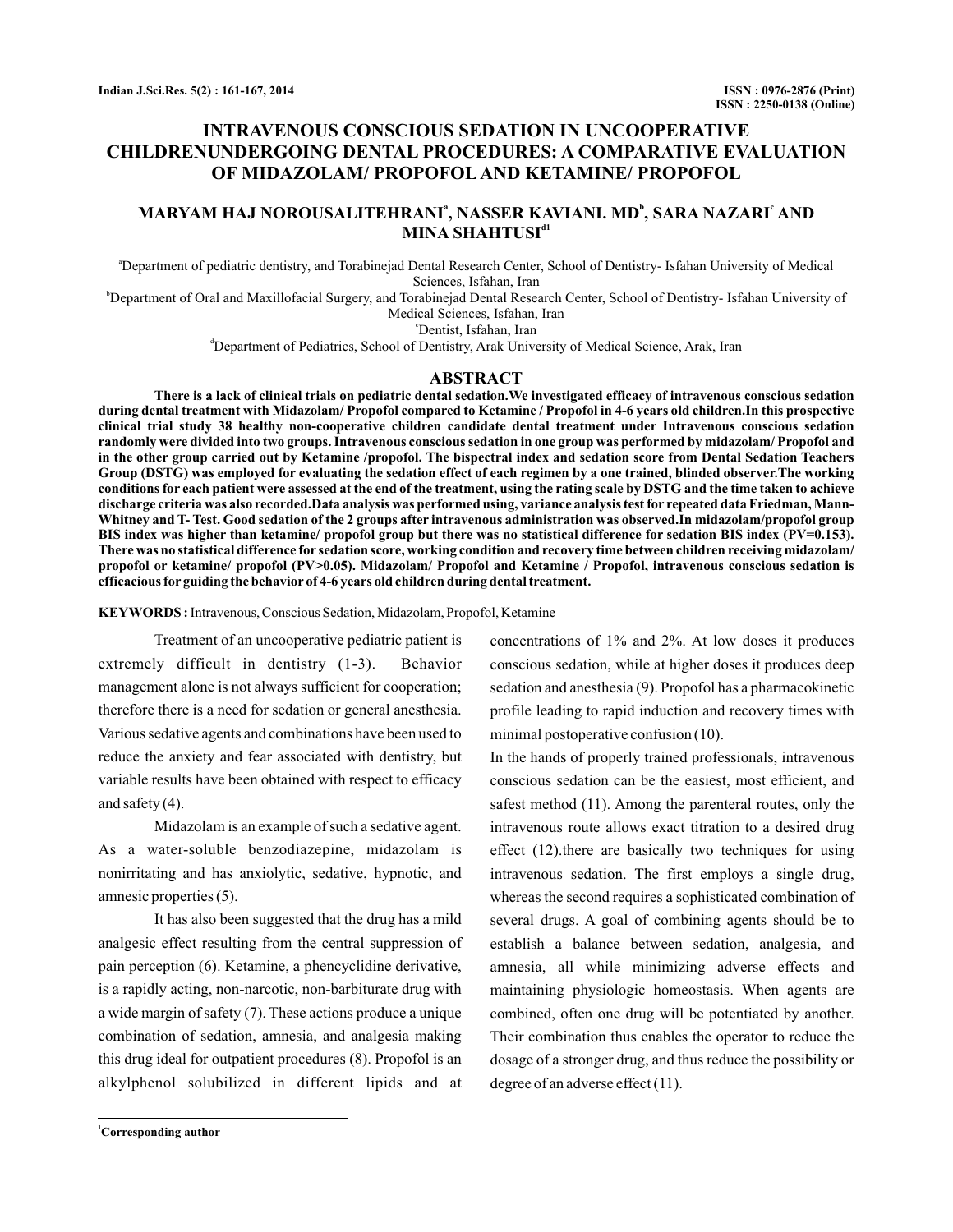# **INTRAVENOUS CONSCIOUS SEDATION IN UNCOOPERATIVE CHILDRENUNDERGOING DENTAL PROCEDURES: A COMPARATIVE EVALUATION OF MIDAZOLAM/ PROPOFOL AND KETAMINE/ PROPOFOL**

# MARYAM HAJ NOROUSALITEHRANIª, NASSER KAVIANI. MD<sup>b</sup>, SARA NAZARIʿ AND  $\mathbf{MINA}$   $\mathbf{SHAHTUSI}^\mathrm{d1}$

a Department of pediatric dentistry, and Torabinejad Dental Research Center, School of Dentistry- Isfahan University of Medical Sciences, Isfahan, Iran

b Department of Oral and Maxillofacial Surgery, and Torabinejad Dental Research Center, School of Dentistry- Isfahan University of Medical Sciences, Isfahan, Iran

c Dentist, Isfahan, Iran

d Department of Pediatrics, School of Dentistry, Arak University of Medical Science, Arak, Iran

## **ABSTRACT**

**There is a lack of clinical trials on pediatric dental sedation.We investigated efficacy of intravenous conscious sedation during dental treatment with Midazolam/ Propofol compared to Ketamine / Propofol in 4-6 years old children.In this prospective clinical trial study 38 healthy non-cooperative children candidate dental treatment under Intravenous conscious sedation randomly were divided into two groups. Intravenous conscious sedation in one group was performed by midazolam/ Propofol and in the other group carried out by Ketamine /propofol. The bispectral index and sedation score from Dental Sedation Teachers Group (DSTG) was employed for evaluating the sedation effect of each regimen by a one trained, blinded observer.The working conditions for each patient were assessed at the end of the treatment, using the rating scale by DSTG and the time taken to achieve discharge criteria was also recorded.Data analysis was performed using, variance analysis test for repeated data Friedman, Mann-Whitney and T- Test. Good sedation of the 2 groups after intravenous administration was observed.In midazolam/propofol group BIS index was higher than ketamine/ propofol group but there was no statistical difference for sedation BIS index (PV=0.153). There was no statistical difference for sedation score, working condition and recovery time between children receiving midazolam/ propofol or ketamine/ propofol (PV>0.05). Midazolam/ Propofol and Ketamine / Propofol, intravenous conscious sedation is efficacious for guiding the behavior of 4-6 years old children during dental treatment.**

**KEYWORDS :**Intravenous, Conscious Sedation, Midazolam, Propofol, Ketamine

Treatment of an uncooperative pediatric patient is extremely difficult in dentistry (1-3). Behavior management alone is not always sufficient for cooperation; therefore there is a need for sedation or general anesthesia. Various sedative agents and combinations have been used to reduce the anxiety and fear associated with dentistry, but variable results have been obtained with respect to efficacy and safety (4).

Midazolam is an example of such a sedative agent. As a water-soluble benzodiazepine, midazolam is nonirritating and has anxiolytic, sedative, hypnotic, and amnesic properties (5).

It has also been suggested that the drug has a mild analgesic effect resulting from the central suppression of pain perception (6). Ketamine, a phencyclidine derivative, is a rapidly acting, non-narcotic, non-barbiturate drug with a wide margin of safety (7). These actions produce a unique combination of sedation, amnesia, and analgesia making this drug ideal for outpatient procedures (8). Propofol is an alkylphenol solubilized in different lipids and at

**<sup>1</sup>Corresponding author**

concentrations of 1% and 2%. At low doses it produces conscious sedation, while at higher doses it produces deep sedation and anesthesia (9). Propofol has a pharmacokinetic profile leading to rapid induction and recovery times with minimal postoperative confusion (10).

In the hands of properly trained professionals, intravenous conscious sedation can be the easiest, most efficient, and safest method (11). Among the parenteral routes, only the intravenous route allows exact titration to a desired drug effect (12).there are basically two techniques for using intravenous sedation. The first employs a single drug, whereas the second requires a sophisticated combination of several drugs. A goal of combining agents should be to establish a balance between sedation, analgesia, and amnesia, all while minimizing adverse effects and maintaining physiologic homeostasis. When agents are combined, often one drug will be potentiated by another. Their combination thus enables the operator to reduce the dosage of a stronger drug, and thus reduce the possibility or degree of an adverse effect (11).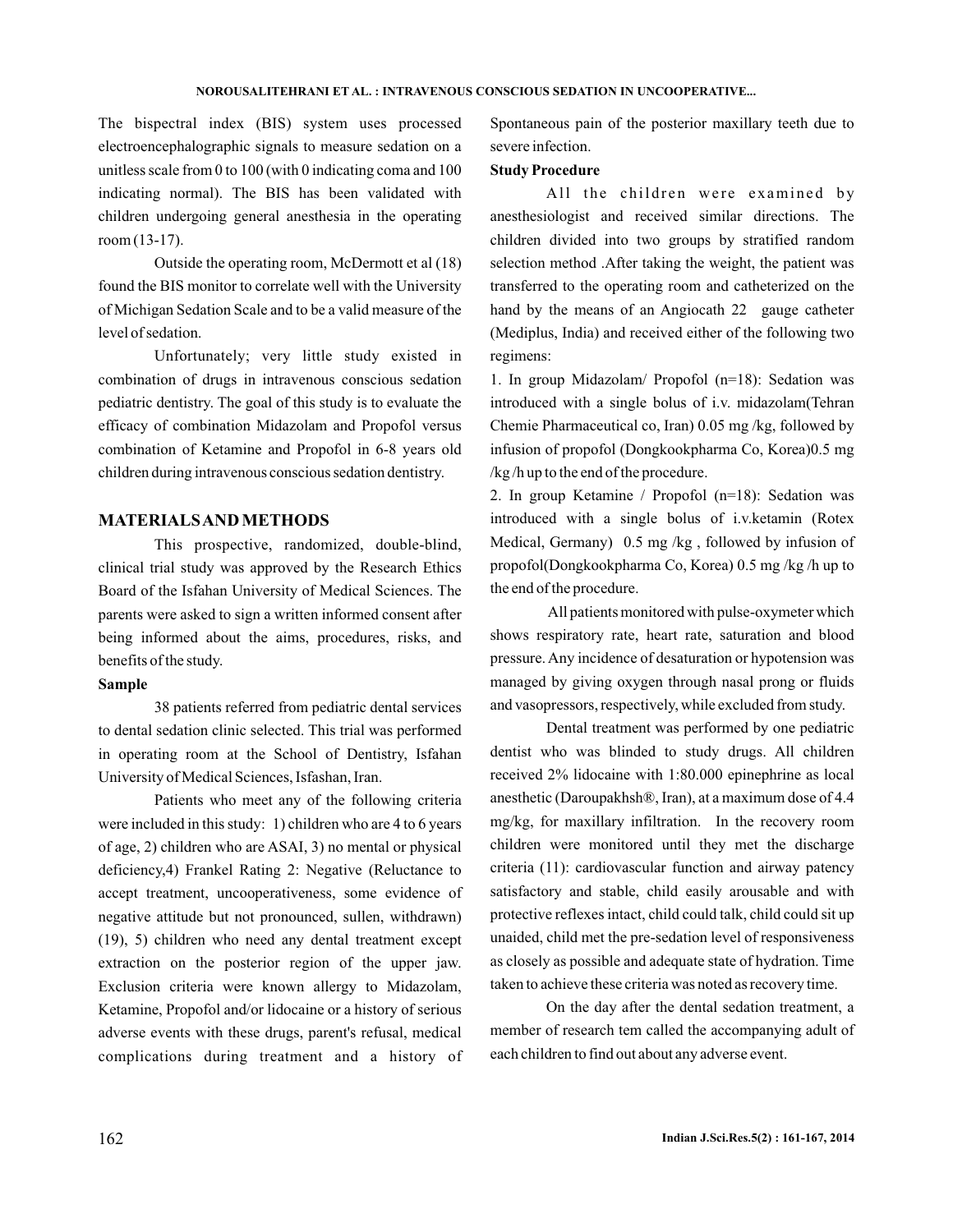#### **NOROUSALITEHRANI ET AL. : INTRAVENOUS CONSCIOUS SEDATION IN UNCOOPERATIVE...**

The bispectral index (BIS) system uses processed electroencephalographic signals to measure sedation on a unitless scale from 0 to 100 (with 0 indicating coma and 100 indicating normal). The BIS has been validated with children undergoing general anesthesia in the operating room (13-17).

Outside the operating room, McDermott et al (18) found the BIS monitor to correlate well with the University of Michigan Sedation Scale and to be a valid measure of the level of sedation.

Unfortunately; very little study existed in combination of drugs in intravenous conscious sedation pediatric dentistry. The goal of this study is to evaluate the efficacy of combination Midazolam and Propofol versus combination of Ketamine and Propofol in 6-8 years old children during intravenous conscious sedation dentistry.

## **MATERIALSAND METHODS**

This prospective, randomized, double-blind, clinical trial study was approved by the Research Ethics Board of the Isfahan University of Medical Sciences. The parents were asked to sign a written informed consent after being informed about the aims, procedures, risks, and benefits of the study.

#### **Sample**

38 patients referred from pediatric dental services to dental sedation clinic selected. This trial was performed in operating room at the School of Dentistry, Isfahan University of Medical Sciences, Isfashan, Iran.

Patients who meet any of the following criteria were included in this study: 1) children who are 4 to 6 years of age, 2) children who are ASAI, 3) no mental or physical deficiency,4) Frankel Rating 2: Negative (Reluctance to accept treatment, uncooperativeness, some evidence of negative attitude but not pronounced, sullen, withdrawn) (19), 5) children who need any dental treatment except extraction on the posterior region of the upper jaw. Exclusion criteria were known allergy to Midazolam, Ketamine, Propofol and/or lidocaine or a history of serious adverse events with these drugs, parent's refusal, medical complications during treatment and a history of Spontaneous pain of the posterior maxillary teeth due to severe infection.

# **Study Procedure**

All the children were examined by anesthesiologist and received similar directions. The children divided into two groups by stratified random selection method .After taking the weight, the patient was transferred to the operating room and catheterized on the hand by the means of an Angiocath 22 gauge catheter (Mediplus, India) and received either of the following two regimens:

1. In group Midazolam/ Propofol (n=18): Sedation was introduced with a single bolus of i.v. midazolam(Tehran Chemie Pharmaceutical co, Iran) 0.05 mg /kg, followed by infusion of propofol (Dongkookpharma Co, Korea)0.5 mg /kg /h up to the end of the procedure.

2. In group Ketamine / Propofol (n=18): Sedation was introduced with a single bolus of i.v.ketamin (Rotex Medical, Germany) 0.5 mg /kg , followed by infusion of propofol(Dongkookpharma Co, Korea) 0.5 mg /kg /h up to the end of the procedure.

All patients monitored with pulse-oxymeter which shows respiratory rate, heart rate, saturation and blood pressure. Any incidence of desaturation or hypotension was managed by giving oxygen through nasal prong or fluids and vasopressors, respectively, while excluded from study.

Dental treatment was performed by one pediatric dentist who was blinded to study drugs. All children received 2% lidocaine with 1:80.000 epinephrine as local anesthetic (Daroupakhsh®, Iran), at a maximum dose of 4.4 mg/kg, for maxillary infiltration. In the recovery room children were monitored until they met the discharge criteria (11): cardiovascular function and airway patency satisfactory and stable, child easily arousable and with protective reflexes intact, child could talk, child could sit up unaided, child met the pre-sedation level of responsiveness as closely as possible and adequate state of hydration. Time taken to achieve these criteria was noted as recovery time.

On the day after the dental sedation treatment, a member of research tem called the accompanying adult of each children to find out about any adverse event.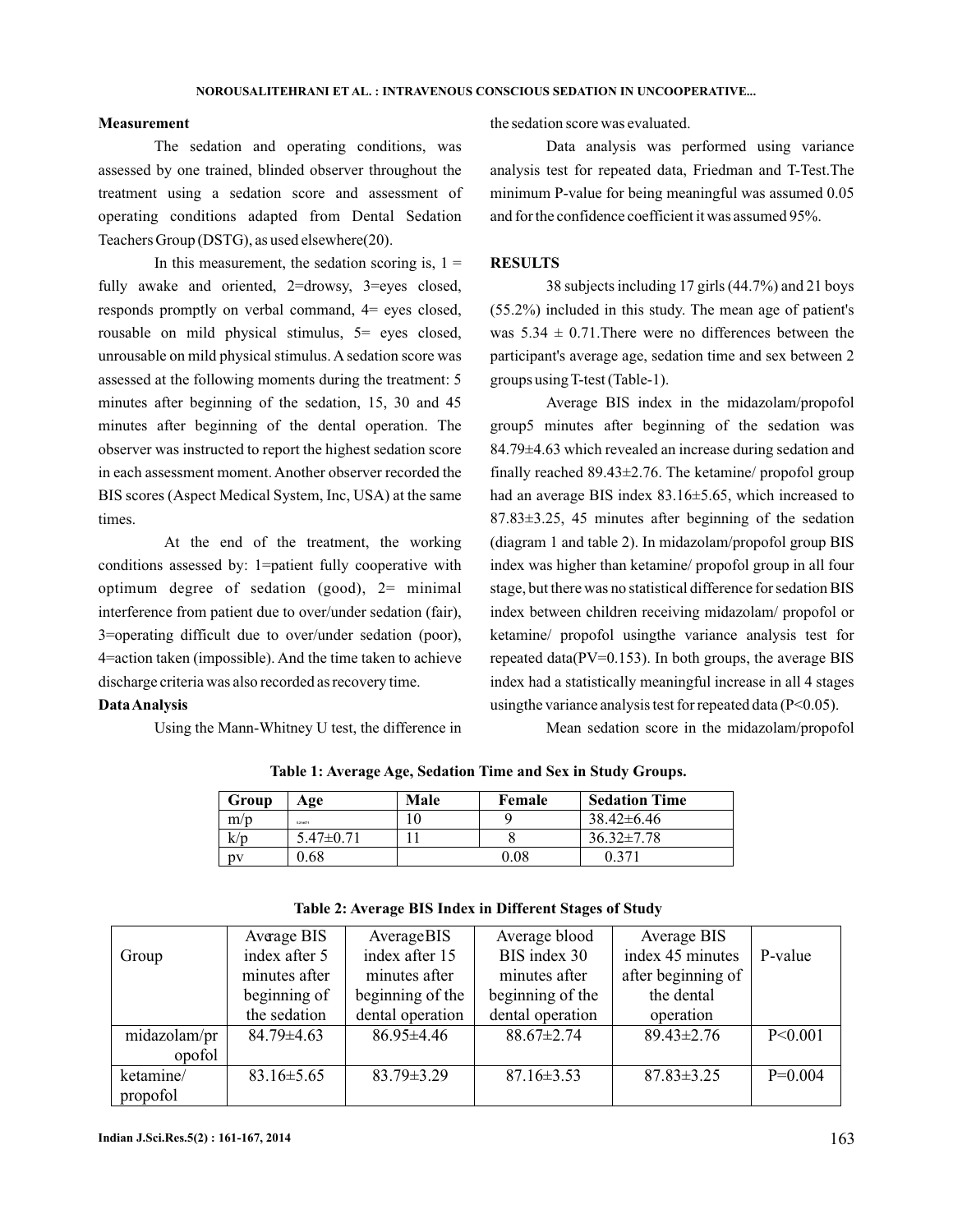## **Measurement**

The sedation and operating conditions, was assessed by one trained, blinded observer throughout the treatment using a sedation score and assessment of operating conditions adapted from Dental Sedation Teachers Group (DSTG), as used elsewhere(20).

In this measurement, the sedation scoring is,  $1 =$ fully awake and oriented, 2=drowsy, 3=eyes closed, responds promptly on verbal command, 4= eyes closed, rousable on mild physical stimulus, 5= eyes closed, unrousable on mild physical stimulus. A sedation score was assessed at the following moments during the treatment: 5 minutes after beginning of the sedation, 15, 30 and 45 minutes after beginning of the dental operation. The observer was instructed to report the highest sedation score in each assessment moment. Another observer recorded the BIS scores (Aspect Medical System, Inc, USA) at the same times.

At the end of the treatment, the working conditions assessed by: 1=patient fully cooperative with optimum degree of sedation (good), 2= minimal interference from patient due to over/under sedation (fair), 3=operating difficult due to over/under sedation (poor), 4=action taken (impossible). And the time taken to achieve discharge criteria was also recorded as recovery time.

## **DataAnalysis**

Using the Mann-Whitney U test, the difference in

the sedation score was evaluated.

Data analysis was performed using variance analysis test for repeated data, Friedman and T-Test.The minimum P-value for being meaningful was assumed 0.05 and for the confidence coefficient it was assumed 95%.

#### **RESULTS**

38 subjects including 17 girls (44.7%) and 21 boys (55.2%) included in this study. The mean age of patient's was  $5.34 \pm 0.71$ . There were no differences between the participant's average age, sedation time and sex between 2 groups using T-test (Table-1).

Average BIS index in the midazolam/propofol group5 minutes after beginning of the sedation was 84.79±4.63 which revealed an increase during sedation and finally reached 89.43±2.76. The ketamine/ propofol group had an average BIS index 83.16±5.65, which increased to 87.83±3.25, 45 minutes after beginning of the sedation (diagram 1 and table 2). In midazolam/propofol group BIS index was higher than ketamine/ propofol group in all four stage, but there was no statistical difference for sedation BIS index between children receiving midazolam/ propofol or ketamine/ propofol usingthe variance analysis test for repeated data(PV=0.153). In both groups, the average BIS index had a statistically meaningful increase in all 4 stages usingthe variance analysis test for repeated data (P<0.05).

Mean sedation score in the midazolam/propofol

| Group | Age             | Male | Female   | <b>Sedation Time</b> |
|-------|-----------------|------|----------|----------------------|
| m/p   | 5.214071        |      |          | $38.42\pm 6.46$      |
| K/D   | $5.47 \pm 0.71$ |      |          | $36.32 \pm 7.78$     |
| nv    | 0.68            |      | $0.08\,$ | 0.37                 |

**Table 1: Average Age, Sedation Time and Sex in Study Groups.**

|              | Average BIS      | AverageBIS       | Average blood    | Average BIS        |           |
|--------------|------------------|------------------|------------------|--------------------|-----------|
| Group        | index after 5    | index after 15   | BIS index 30     | index 45 minutes   | P-value   |
|              | minutes after    | minutes after    | minutes after    | after beginning of |           |
|              | beginning of     | beginning of the | beginning of the | the dental         |           |
|              | the sedation     | dental operation | dental operation | operation          |           |
| midazolam/pr | $84.79 \pm 4.63$ | $86.95 \pm 4.46$ | $88.67 \pm 2.74$ | $89.43 \pm 2.76$   | P < 0.001 |
| opofol       |                  |                  |                  |                    |           |
| ketamine/    | $83.16 \pm 5.65$ | $83.79 \pm 3.29$ | $87.16 \pm 3.53$ | $87.83 \pm 3.25$   | $P=0.004$ |
| propofol     |                  |                  |                  |                    |           |

**Table 2: Average BIS Index in Different Stages of Study**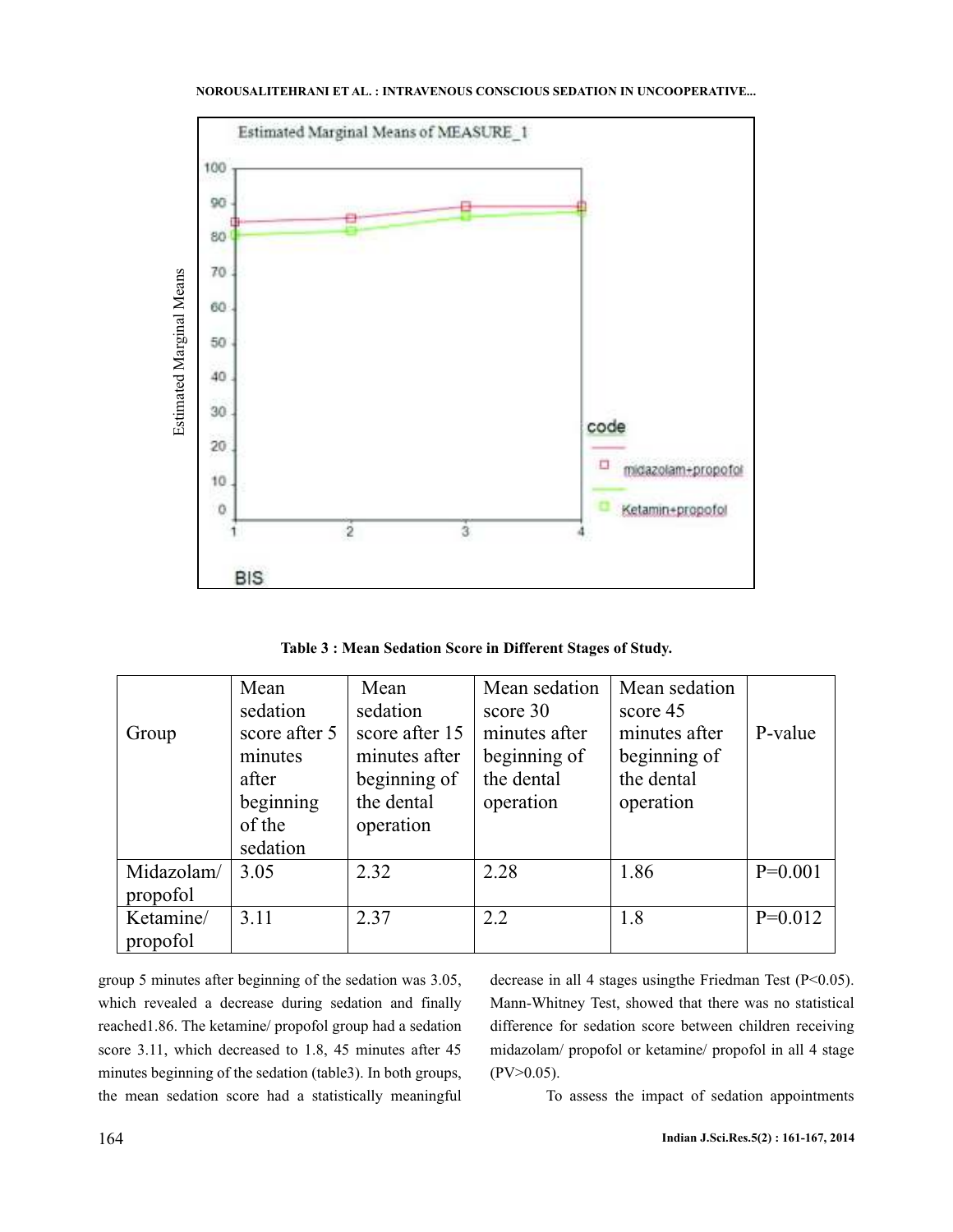

**Table 3 : Mean Sedation Score in Different Stages of Study.**

|            | Mean          | Mean           | Mean sedation | Mean sedation |           |
|------------|---------------|----------------|---------------|---------------|-----------|
|            | sedation      | sedation       | score 30      | score 45      |           |
| Group      | score after 5 | score after 15 | minutes after | minutes after | P-value   |
|            | minutes       | minutes after  | beginning of  | beginning of  |           |
|            | after         | beginning of   | the dental    | the dental    |           |
|            | beginning     | the dental     | operation     | operation     |           |
|            | of the        | operation      |               |               |           |
|            | sedation      |                |               |               |           |
| Midazolam/ | 3.05          | 2.32           | 2.28          | 1.86          | $P=0.001$ |
| propofol   |               |                |               |               |           |
| Ketamine/  | 3.11          | 2.37           | 2.2           | 1.8           | $P=0.012$ |
| propofol   |               |                |               |               |           |

group 5 minutes after beginning of the sedation was 3.05, which revealed a decrease during sedation and finally reached1.86. The ketamine/ propofol group had a sedation score 3.11, which decreased to 1.8, 45 minutes after 45 minutes beginning of the sedation (table3). In both groups, the mean sedation score had a statistically meaningful decrease in all 4 stages using the Friedman Test (P<0.05). Mann-Whitney Test, showed that there was no statistical difference for sedation score between children receiving midazolam/ propofol or ketamine/ propofol in all 4 stage  $(PV>0.05)$ .

To assess the impact of sedation appointments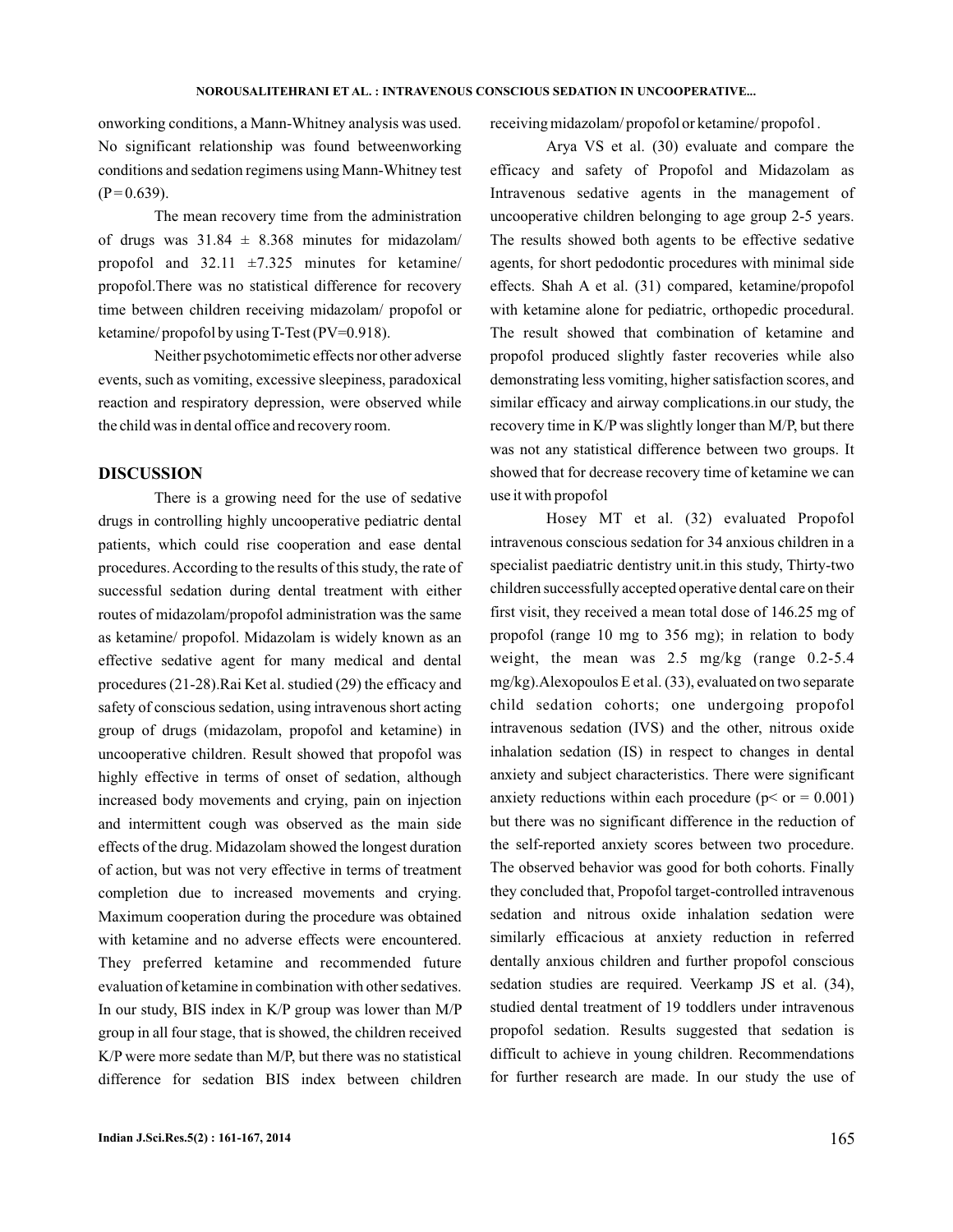onworking conditions, a Mann-Whitney analysis was used. No significant relationship was found betweenworking conditions and sedation regimens using Mann-Whitney test  $(P = 0.639)$ .

The mean recovery time from the administration of drugs was  $31.84 \pm 8.368$  minutes for midazolam/ propofol and  $32.11 \pm 7.325$  minutes for ketamine/ propofol.There was no statistical difference for recovery time between children receiving midazolam/ propofol or ketamine/ propofol by using T-Test (PV=0.918).

Neither psychotomimetic effects nor other adverse events, such as vomiting, excessive sleepiness, paradoxical reaction and respiratory depression, were observed while the child was in dental office and recovery room.

## **DISCUSSION**

There is a growing need for the use of sedative drugs in controlling highly uncooperative pediatric dental patients, which could rise cooperation and ease dental procedures. According to the results of this study, the rate of successful sedation during dental treatment with either routes of midazolam/propofol administration was the same as ketamine/ propofol. Midazolam is widely known as an effective sedative agent for many medical and dental procedures (21-28).Rai Ket al. studied (29) the efficacy and safety of conscious sedation, using intravenous short acting group of drugs (midazolam, propofol and ketamine) in uncooperative children. Result showed that propofol was highly effective in terms of onset of sedation, although increased body movements and crying, pain on injection and intermittent cough was observed as the main side effects of the drug. Midazolam showed the longest duration of action, but was not very effective in terms of treatment completion due to increased movements and crying. Maximum cooperation during the procedure was obtained with ketamine and no adverse effects were encountered. They preferred ketamine and recommended future evaluation of ketamine in combination with other sedatives. In our study, BIS index in K/P group was lower than M/P group in all four stage, that is showed, the children received K/P were more sedate than M/P, but there was no statistical difference for sedation BIS index between children

receiving midazolam/ propofol or ketamine/ propofol .

Arya VS et al. (30) evaluate and compare the efficacy and safety of Propofol and Midazolam as Intravenous sedative agents in the management of uncooperative children belonging to age group 2-5 years. The results showed both agents to be effective sedative agents, for short pedodontic procedures with minimal side effects. Shah A et al. (31) compared, ketamine/propofol with ketamine alone for pediatric, orthopedic procedural. The result showed that combination of ketamine and propofol produced slightly faster recoveries while also demonstrating less vomiting, higher satisfaction scores, and similar efficacy and airway complications.in our study, the recovery time in K/P was slightly longer than M/P, but there was not any statistical difference between two groups. It showed that for decrease recovery time of ketamine we can use it with propofol

Hosey MT et al. (32) evaluated Propofol intravenous conscious sedation for 34 anxious children in a specialist paediatric dentistry unit.in this study, Thirty-two children successfully accepted operative dental care on their first visit, they received a mean total dose of 146.25 mg of propofol (range 10 mg to 356 mg); in relation to body weight, the mean was 2.5 mg/kg (range 0.2-5.4 mg/kg).Alexopoulos E et al. (33), evaluated on two separate child sedation cohorts; one undergoing propofol intravenous sedation (IVS) and the other, nitrous oxide inhalation sedation (IS) in respect to changes in dental anxiety and subject characteristics. There were significant anxiety reductions within each procedure ( $p < or = 0.001$ ) but there was no significant difference in the reduction of the self-reported anxiety scores between two procedure. The observed behavior was good for both cohorts. Finally they concluded that, Propofol target-controlled intravenous sedation and nitrous oxide inhalation sedation were similarly efficacious at anxiety reduction in referred dentally anxious children and further propofol conscious sedation studies are required. Veerkamp JS et al. (34), studied dental treatment of 19 toddlers under intravenous propofol sedation. Results suggested that sedation is difficult to achieve in young children. Recommendations for further research are made. In our study the use of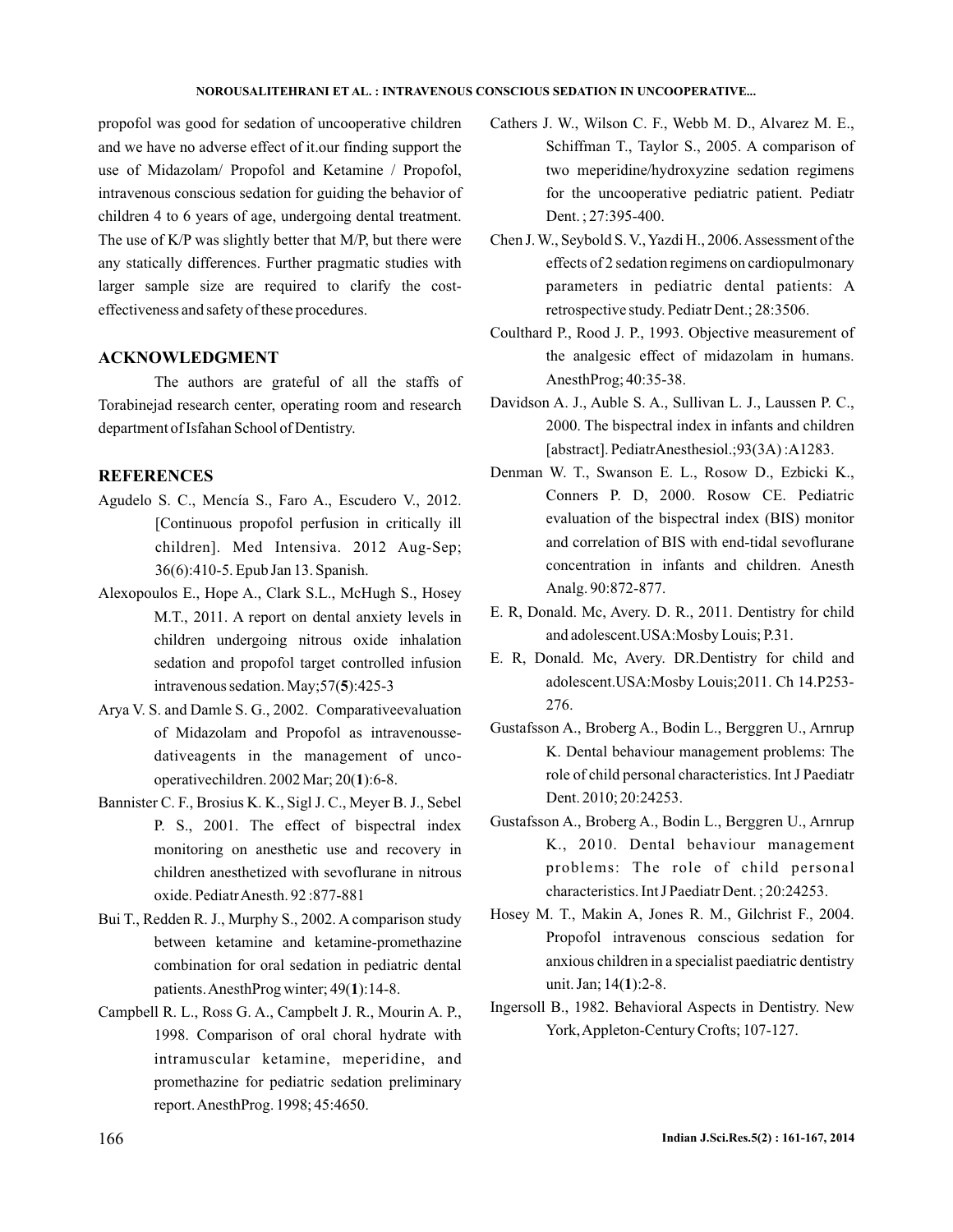## **NOROUSALITEHRANI ET AL. : INTRAVENOUS CONSCIOUS SEDATION IN UNCOOPERATIVE...**

propofol was good for sedation of uncooperative children and we have no adverse effect of it.our finding support the use of Midazolam/ Propofol and Ketamine / Propofol, intravenous conscious sedation for guiding the behavior of children 4 to 6 years of age, undergoing dental treatment. The use of K/P was slightly better that M/P, but there were any statically differences. Further pragmatic studies with larger sample size are required to clarify the costeffectiveness and safety of these procedures.

# **ACKNOWLEDGMENT**

The authors are grateful of all the staffs of Torabinejad research center, operating room and research department of Isfahan School of Dentistry.

# **REFERENCES**

- Agudelo S. C., Mencía S., Faro A., Escudero V., 2012. [Continuous propofol perfusion in critically ill children]. Med Intensiva. 2012 Aug-Sep; 36(6):410-5. Epub Jan 13. Spanish.
- Alexopoulos E., Hope A., Clark S.L., McHugh S., Hosey M.T., 2011. A report on dental anxiety levels in children undergoing nitrous oxide inhalation sedation and propofol target controlled infusion intravenous sedation. May; 57(5): 425-3
- Arya V. S. and Damle S. G., 2002. Comparativeevaluation of Midazolam and Propofol as intravenoussedativeagents in the management of uncooperativechildren. 2002 Mar; 20(1):6-8.
- Bannister C. F., Brosius K. K., Sigl J. C., Meyer B. J., Sebel P. S., 2001. The effect of bispectral index monitoring on anesthetic use and recovery in children anesthetized with sevoflurane in nitrous oxide. PediatrAnesth. 92 :877-881
- Bui T., Redden R. J., Murphy S., 2002. A comparison study between ketamine and ketamine-promethazine combination for oral sedation in pediatric dental patients. AnesthProg winter; 49(1):14-8.
- Campbell R. L., Ross G. A., Campbelt J. R., Mourin A. P., 1998. Comparison of oral choral hydrate with intramuscular ketamine, meperidine, and promethazine for pediatric sedation preliminary report.AnesthProg. 1998; 45:4650.
- Cathers J. W., Wilson C. F., Webb M. D., Alvarez M. E., Schiffman T., Taylor S., 2005. A comparison of two meperidine/hydroxyzine sedation regimens for the uncooperative pediatric patient. Pediatr Dent. ; 27:395-400.
- Chen J.W., Seybold S. V.,Yazdi H., 2006.Assessment of the effects of 2 sedation regimens on cardiopulmonary parameters in pediatric dental patients: A retrospective study. Pediatr Dent.; 28:3506.
- Coulthard P., Rood J. P., 1993. Objective measurement of the analgesic effect of midazolam in humans. AnesthProg; 40:35-38.
- Davidson A. J., Auble S. A., Sullivan L. J., Laussen P. C., 2000. The bispectral index in infants and children [abstract]. PediatrAnesthesiol.;93(3A) :A1283.
- Denman W. T., Swanson E. L., Rosow D., Ezbicki K., Conners P. D, 2000. Rosow CE. Pediatric evaluation of the bispectral index (BIS) monitor and correlation of BIS with end-tidal sevoflurane concentration in infants and children. Anesth Analg. 90:872-877.
- E. R, Donald. Mc, Avery. D. R., 2011. Dentistry for child and adolescent.USA:Mosby Louis; P.31.
- E. R, Donald. Mc, Avery. DR.Dentistry for child and adolescent.USA:Mosby Louis;2011. Ch 14.P253- 276.
- Gustafsson A., Broberg A., Bodin L., Berggren U., Arnrup K. Dental behaviour management problems: The role of child personal characteristics. Int J Paediatr Dent. 2010; 20:24253.
- Gustafsson A., Broberg A., Bodin L., Berggren U., Arnrup K., 2010. Dental behaviour management problems: The role of child personal characteristics. Int J Paediatr Dent. ; 20:24253.
- Hosey M. T., Makin A, Jones R. M., Gilchrist F., 2004. Propofol intravenous conscious sedation for anxious children in a specialist paediatric dentistry unit. Jan; 14(1):2-8.
- Ingersoll B., 1982. Behavioral Aspects in Dentistry. New York,Appleton-Century Crofts; 107-127.